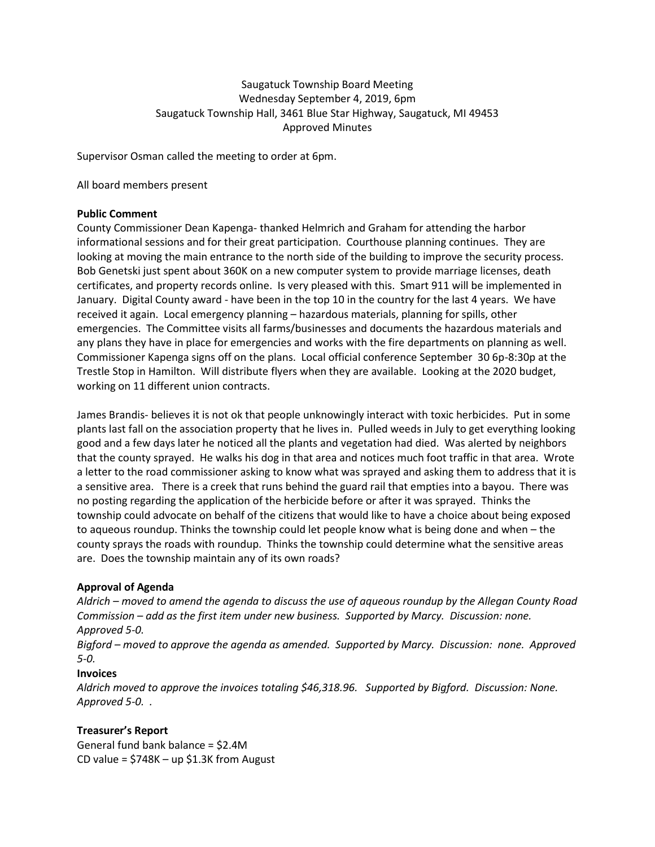# Saugatuck Township Board Meeting Wednesday September 4, 2019, 6pm Saugatuck Township Hall, 3461 Blue Star Highway, Saugatuck, MI 49453 Approved Minutes

Supervisor Osman called the meeting to order at 6pm.

All board members present

#### **Public Comment**

County Commissioner Dean Kapenga- thanked Helmrich and Graham for attending the harbor informational sessions and for their great participation. Courthouse planning continues. They are looking at moving the main entrance to the north side of the building to improve the security process. Bob Genetski just spent about 360K on a new computer system to provide marriage licenses, death certificates, and property records online. Is very pleased with this. Smart 911 will be implemented in January. Digital County award - have been in the top 10 in the country for the last 4 years. We have received it again. Local emergency planning – hazardous materials, planning for spills, other emergencies. The Committee visits all farms/businesses and documents the hazardous materials and any plans they have in place for emergencies and works with the fire departments on planning as well. Commissioner Kapenga signs off on the plans. Local official conference September 30 6p-8:30p at the Trestle Stop in Hamilton. Will distribute flyers when they are available. Looking at the 2020 budget, working on 11 different union contracts.

James Brandis- believes it is not ok that people unknowingly interact with toxic herbicides. Put in some plants last fall on the association property that he lives in. Pulled weeds in July to get everything looking good and a few days later he noticed all the plants and vegetation had died. Was alerted by neighbors that the county sprayed. He walks his dog in that area and notices much foot traffic in that area. Wrote a letter to the road commissioner asking to know what was sprayed and asking them to address that it is a sensitive area. There is a creek that runs behind the guard rail that empties into a bayou. There was no posting regarding the application of the herbicide before or after it was sprayed. Thinks the township could advocate on behalf of the citizens that would like to have a choice about being exposed to aqueous roundup. Thinks the township could let people know what is being done and when – the county sprays the roads with roundup. Thinks the township could determine what the sensitive areas are. Does the township maintain any of its own roads?

## **Approval of Agenda**

*Aldrich – moved to amend the agenda to discuss the use of aqueous roundup by the Allegan County Road Commission – add as the first item under new business. Supported by Marcy. Discussion: none. Approved 5-0.* 

*Bigford – moved to approve the agenda as amended. Supported by Marcy. Discussion: none. Approved 5-0.* 

## **Invoices**

*Aldrich moved to approve the invoices totaling \$46,318.96. Supported by Bigford. Discussion: None. Approved 5-0. .*

## **Treasurer's Report**

General fund bank balance = \$2.4M CD value =  $$748K - up $1.3K$  from August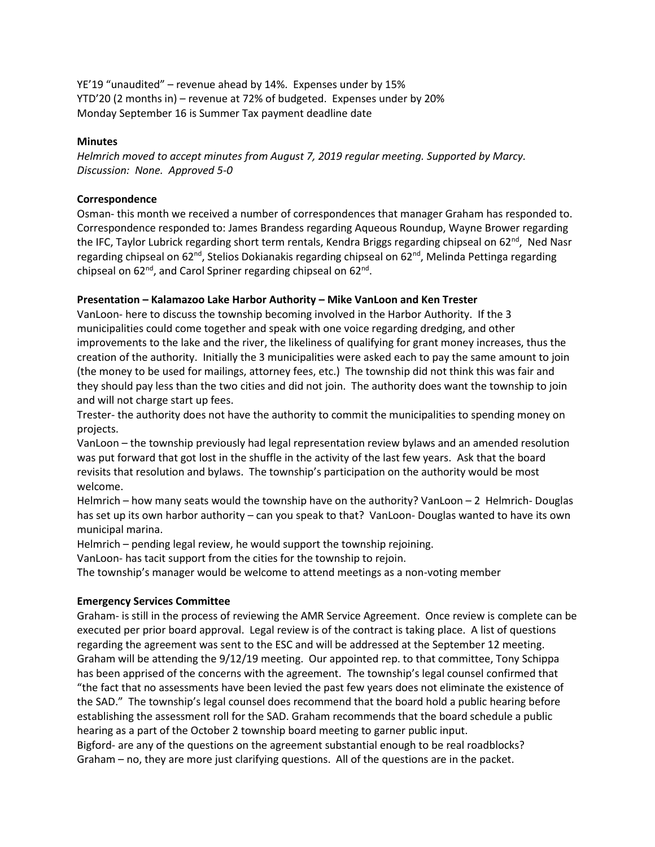YE'19 "unaudited" – revenue ahead by 14%. Expenses under by 15% YTD'20 (2 months in) – revenue at 72% of budgeted. Expenses under by 20% Monday September 16 is Summer Tax payment deadline date

#### **Minutes**

*Helmrich moved to accept minutes from August 7, 2019 regular meeting. Supported by Marcy. Discussion: None. Approved 5-0*

#### **Correspondence**

Osman- this month we received a number of correspondences that manager Graham has responded to. Correspondence responded to: James Brandess regarding Aqueous Roundup, Wayne Brower regarding the IFC, Taylor Lubrick regarding short term rentals, Kendra Briggs regarding chipseal on 62<sup>nd</sup>, Ned Nasr regarding chipseal on  $62<sup>nd</sup>$ , Stelios Dokianakis regarding chipseal on  $62<sup>nd</sup>$ , Melinda Pettinga regarding chipseal on 62<sup>nd</sup>, and Carol Spriner regarding chipseal on 62<sup>nd</sup>.

## **Presentation – Kalamazoo Lake Harbor Authority – Mike VanLoon and Ken Trester**

VanLoon- here to discuss the township becoming involved in the Harbor Authority. If the 3 municipalities could come together and speak with one voice regarding dredging, and other improvements to the lake and the river, the likeliness of qualifying for grant money increases, thus the creation of the authority. Initially the 3 municipalities were asked each to pay the same amount to join (the money to be used for mailings, attorney fees, etc.) The township did not think this was fair and they should pay less than the two cities and did not join. The authority does want the township to join and will not charge start up fees.

Trester- the authority does not have the authority to commit the municipalities to spending money on projects.

VanLoon – the township previously had legal representation review bylaws and an amended resolution was put forward that got lost in the shuffle in the activity of the last few years. Ask that the board revisits that resolution and bylaws. The township's participation on the authority would be most welcome.

Helmrich – how many seats would the township have on the authority? VanLoon  $-2$  Helmrich-Douglas has set up its own harbor authority – can you speak to that? VanLoon- Douglas wanted to have its own municipal marina.

Helmrich – pending legal review, he would support the township rejoining.

VanLoon- has tacit support from the cities for the township to rejoin.

The township's manager would be welcome to attend meetings as a non-voting member

#### **Emergency Services Committee**

Graham- is still in the process of reviewing the AMR Service Agreement. Once review is complete can be executed per prior board approval. Legal review is of the contract is taking place. A list of questions regarding the agreement was sent to the ESC and will be addressed at the September 12 meeting. Graham will be attending the 9/12/19 meeting. Our appointed rep. to that committee, Tony Schippa has been apprised of the concerns with the agreement. The township's legal counsel confirmed that "the fact that no assessments have been levied the past few years does not eliminate the existence of the SAD." The township's legal counsel does recommend that the board hold a public hearing before establishing the assessment roll for the SAD. Graham recommends that the board schedule a public hearing as a part of the October 2 township board meeting to garner public input.

Bigford- are any of the questions on the agreement substantial enough to be real roadblocks? Graham – no, they are more just clarifying questions. All of the questions are in the packet.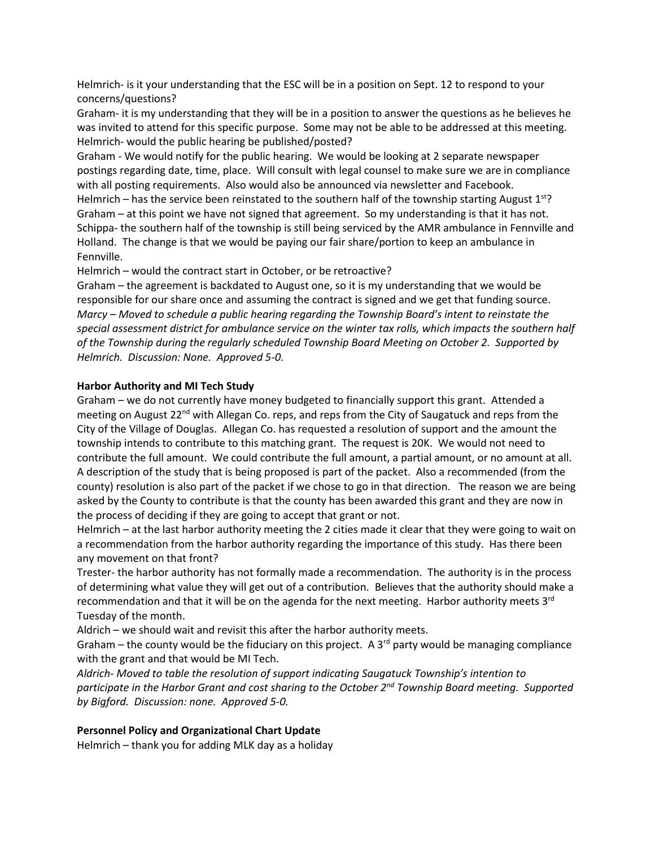Helmrich- is it your understanding that the ESC will be in a position on Sept. 12 to respond to your concerns/questions?

Graham- it is my understanding that they will be in a position to answer the questions as he believes he was invited to attend for this specific purpose. Some may not be able to be addressed at this meeting. Helmrich- would the public hearing be published/posted?

Graham - We would notify for the public hearing. We would be looking at 2 separate newspaper postings regarding date, time, place. Will consult with legal counsel to make sure we are in compliance with all posting requirements. Also would also be announced via newsletter and Facebook.

Helmrich – has the service been reinstated to the southern half of the township starting August  $1<sup>st</sup>$ ? Graham – at this point we have not signed that agreement. So my understanding is that it has not. Schippa- the southern half of the township is still being serviced by the AMR ambulance in Fennville and Holland. The change is that we would be paying our fair share/portion to keep an ambulance in Fennville.

Helmrich – would the contract start in October, or be retroactive?

Graham – the agreement is backdated to August one, so it is my understanding that we would be responsible for our share once and assuming the contract is signed and we get that funding source. *Marcy – Moved to schedule a public hearing regarding the Township Board's intent to reinstate the special assessment district for ambulance service on the winter tax rolls, which impacts the southern half of the Township during the regularly scheduled Township Board Meeting on October 2. Supported by Helmrich. Discussion: None. Approved 5-0.* 

## **Harbor Authority and MI Tech Study**

Graham – we do not currently have money budgeted to financially support this grant. Attended a meeting on August  $22<sup>nd</sup>$  with Allegan Co. reps, and reps from the City of Saugatuck and reps from the City of the Village of Douglas. Allegan Co. has requested a resolution of support and the amount the township intends to contribute to this matching grant. The request is 20K. We would not need to contribute the full amount. We could contribute the full amount, a partial amount, or no amount at all. A description of the study that is being proposed is part of the packet. Also a recommended (from the county) resolution is also part of the packet if we chose to go in that direction. The reason we are being asked by the County to contribute is that the county has been awarded this grant and they are now in the process of deciding if they are going to accept that grant or not.

Helmrich – at the last harbor authority meeting the 2 cities made it clear that they were going to wait on a recommendation from the harbor authority regarding the importance of this study. Has there been any movement on that front?

Trester- the harbor authority has not formally made a recommendation. The authority is in the process of determining what value they will get out of a contribution. Believes that the authority should make a recommendation and that it will be on the agenda for the next meeting. Harbor authority meets  $3<sup>rd</sup>$ Tuesday of the month.

Aldrich – we should wait and revisit this after the harbor authority meets.

Graham – the county would be the fiduciary on this project. A 3<sup>rd</sup> party would be managing compliance with the grant and that would be MI Tech.

*Aldrich- Moved to table the resolution of support indicating Saugatuck Township's intention to participate in the Harbor Grant and cost sharing to the October 2nd Township Board meeting. Supported by Bigford. Discussion: none. Approved 5-0.* 

# **Personnel Policy and Organizational Chart Update**

Helmrich – thank you for adding MLK day as a holiday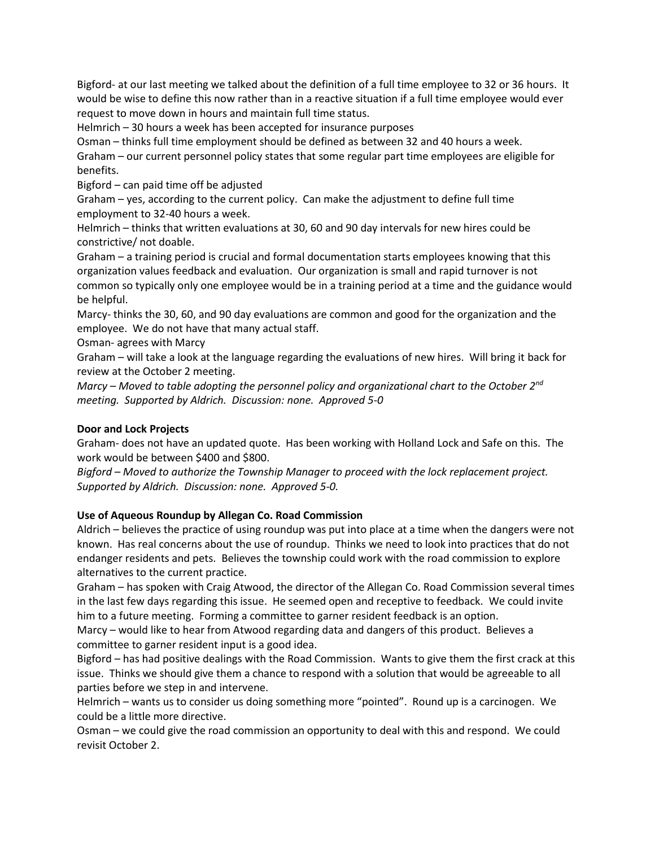Bigford- at our last meeting we talked about the definition of a full time employee to 32 or 36 hours. It would be wise to define this now rather than in a reactive situation if a full time employee would ever request to move down in hours and maintain full time status.

Helmrich – 30 hours a week has been accepted for insurance purposes

Osman – thinks full time employment should be defined as between 32 and 40 hours a week. Graham – our current personnel policy states that some regular part time employees are eligible for benefits.

Bigford – can paid time off be adjusted

Graham – yes, according to the current policy. Can make the adjustment to define full time employment to 32-40 hours a week.

Helmrich – thinks that written evaluations at 30, 60 and 90 day intervals for new hires could be constrictive/ not doable.

Graham – a training period is crucial and formal documentation starts employees knowing that this organization values feedback and evaluation. Our organization is small and rapid turnover is not common so typically only one employee would be in a training period at a time and the guidance would be helpful.

Marcy- thinks the 30, 60, and 90 day evaluations are common and good for the organization and the employee. We do not have that many actual staff.

Osman- agrees with Marcy

Graham – will take a look at the language regarding the evaluations of new hires. Will bring it back for review at the October 2 meeting.

*Marcy – Moved to table adopting the personnel policy and organizational chart to the October 2nd meeting. Supported by Aldrich. Discussion: none. Approved 5-0*

# **Door and Lock Projects**

Graham- does not have an updated quote. Has been working with Holland Lock and Safe on this. The work would be between \$400 and \$800.

*Bigford – Moved to authorize the Township Manager to proceed with the lock replacement project. Supported by Aldrich. Discussion: none. Approved 5-0.*

# **Use of Aqueous Roundup by Allegan Co. Road Commission**

Aldrich – believes the practice of using roundup was put into place at a time when the dangers were not known. Has real concerns about the use of roundup. Thinks we need to look into practices that do not endanger residents and pets. Believes the township could work with the road commission to explore alternatives to the current practice.

Graham – has spoken with Craig Atwood, the director of the Allegan Co. Road Commission several times in the last few days regarding this issue. He seemed open and receptive to feedback. We could invite him to a future meeting. Forming a committee to garner resident feedback is an option.

Marcy – would like to hear from Atwood regarding data and dangers of this product. Believes a committee to garner resident input is a good idea.

Bigford – has had positive dealings with the Road Commission. Wants to give them the first crack at this issue. Thinks we should give them a chance to respond with a solution that would be agreeable to all parties before we step in and intervene.

Helmrich – wants us to consider us doing something more "pointed". Round up is a carcinogen. We could be a little more directive.

Osman – we could give the road commission an opportunity to deal with this and respond. We could revisit October 2.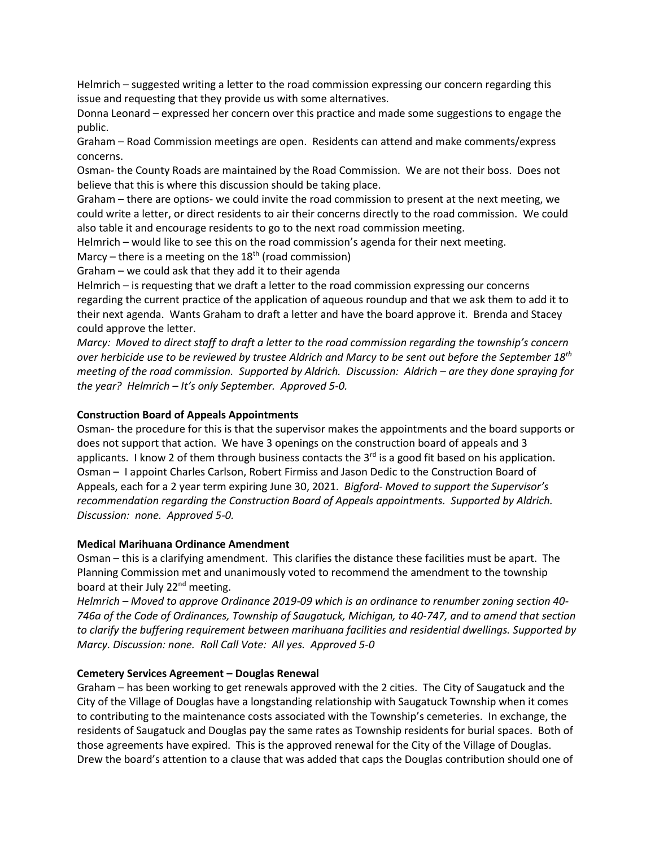Helmrich – suggested writing a letter to the road commission expressing our concern regarding this issue and requesting that they provide us with some alternatives.

Donna Leonard – expressed her concern over this practice and made some suggestions to engage the public.

Graham – Road Commission meetings are open. Residents can attend and make comments/express concerns.

Osman- the County Roads are maintained by the Road Commission. We are not their boss. Does not believe that this is where this discussion should be taking place.

Graham – there are options- we could invite the road commission to present at the next meeting, we could write a letter, or direct residents to air their concerns directly to the road commission. We could also table it and encourage residents to go to the next road commission meeting.

Helmrich – would like to see this on the road commission's agenda for their next meeting.

Marcy – there is a meeting on the  $18<sup>th</sup>$  (road commission)

Graham – we could ask that they add it to their agenda

Helmrich – is requesting that we draft a letter to the road commission expressing our concerns regarding the current practice of the application of aqueous roundup and that we ask them to add it to their next agenda. Wants Graham to draft a letter and have the board approve it. Brenda and Stacey could approve the letter.

*Marcy: Moved to direct staff to draft a letter to the road commission regarding the township's concern over herbicide use to be reviewed by trustee Aldrich and Marcy to be sent out before the September 18th meeting of the road commission. Supported by Aldrich. Discussion: Aldrich – are they done spraying for the year? Helmrich – It's only September. Approved 5-0.* 

## **Construction Board of Appeals Appointments**

Osman- the procedure for this is that the supervisor makes the appointments and the board supports or does not support that action. We have 3 openings on the construction board of appeals and 3 applicants. I know 2 of them through business contacts the  $3<sup>rd</sup>$  is a good fit based on his application. Osman – I appoint Charles Carlson, Robert Firmiss and Jason Dedic to the Construction Board of Appeals, each for a 2 year term expiring June 30, 2021. *Bigford- Moved to support the Supervisor's recommendation regarding the Construction Board of Appeals appointments. Supported by Aldrich. Discussion: none. Approved 5-0.*

#### **Medical Marihuana Ordinance Amendment**

Osman – this is a clarifying amendment. This clarifies the distance these facilities must be apart. The Planning Commission met and unanimously voted to recommend the amendment to the township board at their July 22<sup>nd</sup> meeting.

*Helmrich – Moved to approve Ordinance 2019-09 which is an ordinance to renumber zoning section 40- 746a of the Code of Ordinances, Township of Saugatuck, Michigan, to 40-747, and to amend that section to clarify the buffering requirement between marihuana facilities and residential dwellings. Supported by Marcy. Discussion: none. Roll Call Vote: All yes. Approved 5-0*

## **Cemetery Services Agreement – Douglas Renewal**

Graham – has been working to get renewals approved with the 2 cities. The City of Saugatuck and the City of the Village of Douglas have a longstanding relationship with Saugatuck Township when it comes to contributing to the maintenance costs associated with the Township's cemeteries. In exchange, the residents of Saugatuck and Douglas pay the same rates as Township residents for burial spaces. Both of those agreements have expired. This is the approved renewal for the City of the Village of Douglas. Drew the board's attention to a clause that was added that caps the Douglas contribution should one of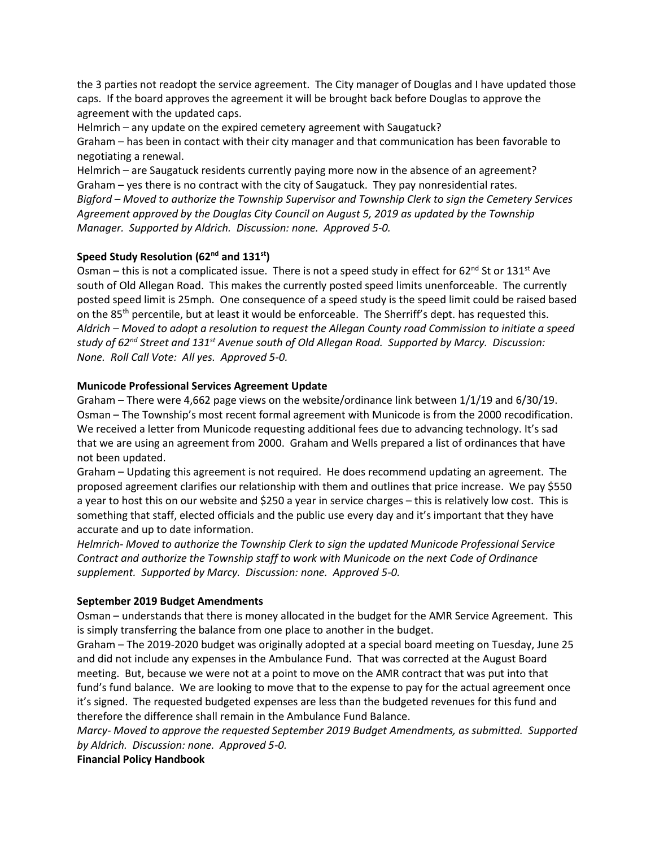the 3 parties not readopt the service agreement. The City manager of Douglas and I have updated those caps. If the board approves the agreement it will be brought back before Douglas to approve the agreement with the updated caps.

Helmrich – any update on the expired cemetery agreement with Saugatuck? Graham – has been in contact with their city manager and that communication has been favorable to negotiating a renewal.

Helmrich – are Saugatuck residents currently paying more now in the absence of an agreement? Graham – yes there is no contract with the city of Saugatuck. They pay nonresidential rates. *Bigford – Moved to authorize the Township Supervisor and Township Clerk to sign the Cemetery Services Agreement approved by the Douglas City Council on August 5, 2019 as updated by the Township Manager. Supported by Aldrich. Discussion: none. Approved 5-0.*

## **Speed Study Resolution (62nd and 131st)**

Osman – this is not a complicated issue. There is not a speed study in effect for  $62^{nd}$  St or 131st Ave south of Old Allegan Road. This makes the currently posted speed limits unenforceable. The currently posted speed limit is 25mph. One consequence of a speed study is the speed limit could be raised based on the 85<sup>th</sup> percentile, but at least it would be enforceable. The Sherriff's dept. has requested this. *Aldrich – Moved to adopt a resolution to request the Allegan County road Commission to initiate a speed study of 62nd Street and 131st Avenue south of Old Allegan Road. Supported by Marcy. Discussion: None. Roll Call Vote: All yes. Approved 5-0.*

## **Municode Professional Services Agreement Update**

Graham – There were 4,662 page views on the website/ordinance link between 1/1/19 and 6/30/19. Osman – The Township's most recent formal agreement with Municode is from the 2000 recodification. We received a letter from Municode requesting additional fees due to advancing technology. It's sad that we are using an agreement from 2000. Graham and Wells prepared a list of ordinances that have not been updated.

Graham – Updating this agreement is not required. He does recommend updating an agreement. The proposed agreement clarifies our relationship with them and outlines that price increase. We pay \$550 a year to host this on our website and \$250 a year in service charges – this is relatively low cost. This is something that staff, elected officials and the public use every day and it's important that they have accurate and up to date information.

*Helmrich- Moved to authorize the Township Clerk to sign the updated Municode Professional Service Contract and authorize the Township staff to work with Municode on the next Code of Ordinance supplement. Supported by Marcy. Discussion: none. Approved 5-0.*

## **September 2019 Budget Amendments**

Osman – understands that there is money allocated in the budget for the AMR Service Agreement. This is simply transferring the balance from one place to another in the budget.

Graham – The 2019-2020 budget was originally adopted at a special board meeting on Tuesday, June 25 and did not include any expenses in the Ambulance Fund. That was corrected at the August Board meeting. But, because we were not at a point to move on the AMR contract that was put into that fund's fund balance. We are looking to move that to the expense to pay for the actual agreement once it's signed. The requested budgeted expenses are less than the budgeted revenues for this fund and therefore the difference shall remain in the Ambulance Fund Balance.

*Marcy- Moved to approve the requested September 2019 Budget Amendments, as submitted. Supported by Aldrich. Discussion: none. Approved 5-0.* 

**Financial Policy Handbook**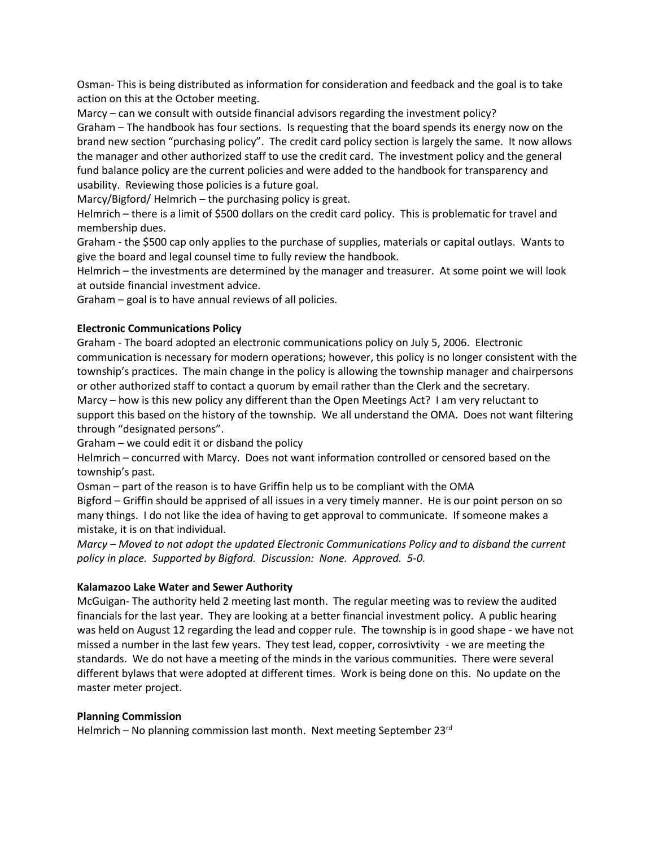Osman- This is being distributed as information for consideration and feedback and the goal is to take action on this at the October meeting.

Marcy – can we consult with outside financial advisors regarding the investment policy? Graham – The handbook has four sections. Is requesting that the board spends its energy now on the brand new section "purchasing policy". The credit card policy section is largely the same. It now allows the manager and other authorized staff to use the credit card. The investment policy and the general fund balance policy are the current policies and were added to the handbook for transparency and usability. Reviewing those policies is a future goal.

Marcy/Bigford/ Helmrich – the purchasing policy is great.

Helmrich – there is a limit of \$500 dollars on the credit card policy. This is problematic for travel and membership dues.

Graham - the \$500 cap only applies to the purchase of supplies, materials or capital outlays. Wants to give the board and legal counsel time to fully review the handbook.

Helmrich – the investments are determined by the manager and treasurer. At some point we will look at outside financial investment advice.

Graham – goal is to have annual reviews of all policies.

## **Electronic Communications Policy**

Graham - The board adopted an electronic communications policy on July 5, 2006. Electronic communication is necessary for modern operations; however, this policy is no longer consistent with the township's practices. The main change in the policy is allowing the township manager and chairpersons or other authorized staff to contact a quorum by email rather than the Clerk and the secretary. Marcy – how is this new policy any different than the Open Meetings Act? I am very reluctant to support this based on the history of the township. We all understand the OMA. Does not want filtering through "designated persons".

Graham – we could edit it or disband the policy

Helmrich – concurred with Marcy. Does not want information controlled or censored based on the township's past.

Osman – part of the reason is to have Griffin help us to be compliant with the OMA

Bigford – Griffin should be apprised of all issues in a very timely manner. He is our point person on so many things. I do not like the idea of having to get approval to communicate. If someone makes a mistake, it is on that individual.

*Marcy – Moved to not adopt the updated Electronic Communications Policy and to disband the current policy in place. Supported by Bigford. Discussion: None. Approved. 5-0.*

## **Kalamazoo Lake Water and Sewer Authority**

McGuigan- The authority held 2 meeting last month. The regular meeting was to review the audited financials for the last year. They are looking at a better financial investment policy. A public hearing was held on August 12 regarding the lead and copper rule. The township is in good shape - we have not missed a number in the last few years. They test lead, copper, corrosivtivity - we are meeting the standards. We do not have a meeting of the minds in the various communities. There were several different bylaws that were adopted at different times. Work is being done on this. No update on the master meter project.

## **Planning Commission**

Helmrich – No planning commission last month. Next meeting September  $23<sup>rd</sup>$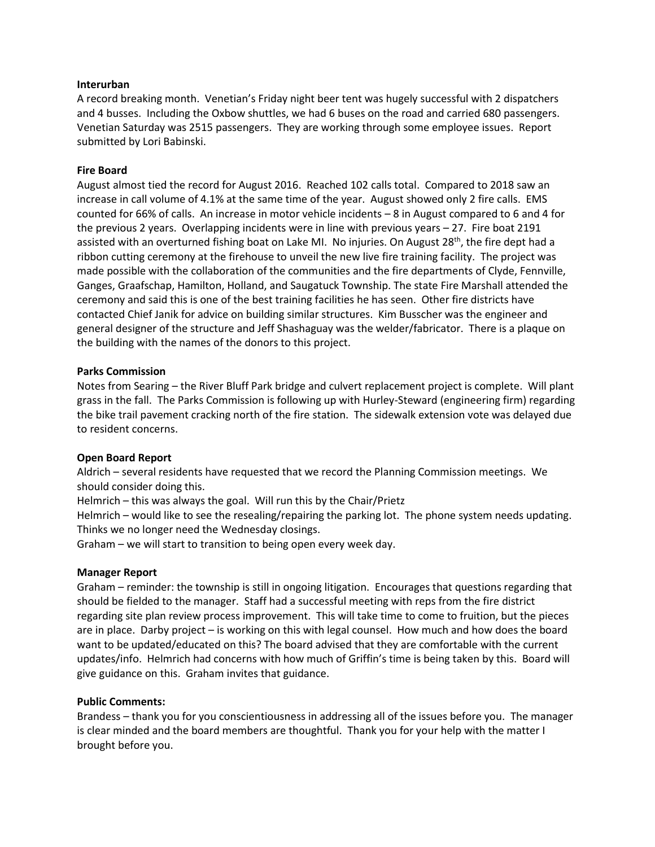#### **Interurban**

A record breaking month. Venetian's Friday night beer tent was hugely successful with 2 dispatchers and 4 busses. Including the Oxbow shuttles, we had 6 buses on the road and carried 680 passengers. Venetian Saturday was 2515 passengers. They are working through some employee issues. Report submitted by Lori Babinski.

#### **Fire Board**

August almost tied the record for August 2016. Reached 102 calls total. Compared to 2018 saw an increase in call volume of 4.1% at the same time of the year. August showed only 2 fire calls. EMS counted for 66% of calls. An increase in motor vehicle incidents – 8 in August compared to 6 and 4 for the previous 2 years. Overlapping incidents were in line with previous years – 27. Fire boat 2191 assisted with an overturned fishing boat on Lake MI. No injuries. On August 28<sup>th</sup>, the fire dept had a ribbon cutting ceremony at the firehouse to unveil the new live fire training facility. The project was made possible with the collaboration of the communities and the fire departments of Clyde, Fennville, Ganges, Graafschap, Hamilton, Holland, and Saugatuck Township. The state Fire Marshall attended the ceremony and said this is one of the best training facilities he has seen. Other fire districts have contacted Chief Janik for advice on building similar structures. Kim Busscher was the engineer and general designer of the structure and Jeff Shashaguay was the welder/fabricator. There is a plaque on the building with the names of the donors to this project.

#### **Parks Commission**

Notes from Searing – the River Bluff Park bridge and culvert replacement project is complete. Will plant grass in the fall. The Parks Commission is following up with Hurley-Steward (engineering firm) regarding the bike trail pavement cracking north of the fire station. The sidewalk extension vote was delayed due to resident concerns.

## **Open Board Report**

Aldrich – several residents have requested that we record the Planning Commission meetings. We should consider doing this.

Helmrich – this was always the goal. Will run this by the Chair/Prietz

Helmrich – would like to see the resealing/repairing the parking lot. The phone system needs updating. Thinks we no longer need the Wednesday closings.

Graham – we will start to transition to being open every week day.

#### **Manager Report**

Graham – reminder: the township is still in ongoing litigation. Encourages that questions regarding that should be fielded to the manager. Staff had a successful meeting with reps from the fire district regarding site plan review process improvement. This will take time to come to fruition, but the pieces are in place. Darby project – is working on this with legal counsel. How much and how does the board want to be updated/educated on this? The board advised that they are comfortable with the current updates/info. Helmrich had concerns with how much of Griffin's time is being taken by this. Board will give guidance on this. Graham invites that guidance.

#### **Public Comments:**

Brandess – thank you for you conscientiousness in addressing all of the issues before you. The manager is clear minded and the board members are thoughtful. Thank you for your help with the matter I brought before you.